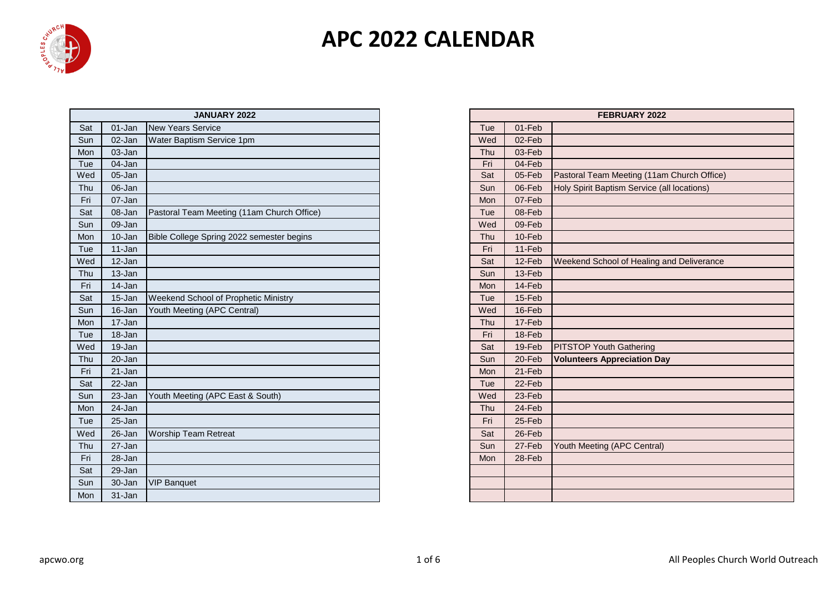

|     |        | JANUARY 2022                               |     |        | FEBRUARY 2022                               |
|-----|--------|--------------------------------------------|-----|--------|---------------------------------------------|
| Sat | 01-Jan | <b>New Years Service</b>                   | Tue | 01-Feb |                                             |
| Sun | 02-Jan | Water Baptism Service 1pm                  | Wed | 02-Feb |                                             |
| Mon | 03-Jan |                                            | Thu | 03-Feb |                                             |
| Tue | 04-Jan |                                            | Fri | 04-Feb |                                             |
| Wed | 05-Jan |                                            | Sat | 05-Feb | Pastoral Team Meeting (11am Church Office)  |
| Thu | 06-Jan |                                            | Sun | 06-Feb | Holy Spirit Baptism Service (all locations) |
| Fri | 07-Jan |                                            | Mon | 07-Feb |                                             |
| Sat | 08-Jan | Pastoral Team Meeting (11am Church Office) | Tue | 08-Feb |                                             |
| Sun | 09-Jan |                                            | Wed | 09-Feb |                                             |
| Mon | 10-Jan | Bible College Spring 2022 semester begins  | Thu | 10-Feb |                                             |
| Tue | 11-Jan |                                            | Fri | 11-Feb |                                             |
| Wed | 12-Jan |                                            | Sat | 12-Feb | Weekend School of Healing and Deliverance   |
| Thu | 13-Jan |                                            | Sun | 13-Feb |                                             |
| Fri | 14-Jan |                                            | Mon | 14-Feb |                                             |
| Sat | 15-Jan | Weekend School of Prophetic Ministry       | Tue | 15-Feb |                                             |
| Sun | 16-Jan | Youth Meeting (APC Central)                | Wed | 16-Feb |                                             |
| Mon | 17-Jan |                                            | Thu | 17-Feb |                                             |
| Tue | 18-Jan |                                            | Fri | 18-Feb |                                             |
| Wed | 19-Jan |                                            | Sat | 19-Feb | <b>PITSTOP Youth Gathering</b>              |
| Thu | 20-Jan |                                            | Sun | 20-Feb | <b>Volunteers Appreciation Day</b>          |
| Fri | 21-Jan |                                            | Mon | 21-Feb |                                             |
| Sat | 22-Jan |                                            | Tue | 22-Feb |                                             |
| Sun | 23-Jan | Youth Meeting (APC East & South)           | Wed | 23-Feb |                                             |
| Mon | 24-Jan |                                            | Thu | 24-Feb |                                             |
| Tue | 25-Jan |                                            | Fri | 25-Feb |                                             |
| Wed | 26-Jan | <b>Worship Team Retreat</b>                | Sat | 26-Feb |                                             |
| Thu | 27-Jan |                                            | Sun | 27-Feb | Youth Meeting (APC Central)                 |
| Fri | 28-Jan |                                            | Mon | 28-Feb |                                             |
| Sat | 29-Jan |                                            |     |        |                                             |
| Sun | 30-Jan | <b>VIP Banquet</b>                         |     |        |                                             |
| Mon | 31-Jan |                                            |     |        |                                             |

| <b>JANUARY 2022</b>             | FEBRUARY 2022 |        |                                             |  |  |  |  |
|---------------------------------|---------------|--------|---------------------------------------------|--|--|--|--|
| Service                         | Tue           | 01-Feb |                                             |  |  |  |  |
| sm Service 1pm                  | Wed           | 02-Feb |                                             |  |  |  |  |
|                                 | Thu           | 03-Feb |                                             |  |  |  |  |
|                                 | Fri           | 04-Feb |                                             |  |  |  |  |
|                                 | Sat           | 05-Feb | Pastoral Team Meeting (11am Church Office)  |  |  |  |  |
|                                 | Sun           | 06-Feb | Holy Spirit Baptism Service (all locations) |  |  |  |  |
|                                 | Mon           | 07-Feb |                                             |  |  |  |  |
| am Meeting (11am Church Office) | Tue           | 08-Feb |                                             |  |  |  |  |
|                                 | Wed           | 09-Feb |                                             |  |  |  |  |
| e Spring 2022 semester begins   | Thu           | 10-Feb |                                             |  |  |  |  |
|                                 | Fri           | 11-Feb |                                             |  |  |  |  |
|                                 | Sat           | 12-Feb | Weekend School of Healing and Deliverance   |  |  |  |  |
|                                 | Sun           | 13-Feb |                                             |  |  |  |  |
|                                 | Mon           | 14-Feb |                                             |  |  |  |  |
| chool of Prophetic Ministry     | Tue           | 15-Feb |                                             |  |  |  |  |
| ng (APC Central)                | Wed           | 16-Feb |                                             |  |  |  |  |
|                                 | Thu           | 17-Feb |                                             |  |  |  |  |
|                                 | Fri           | 18-Feb |                                             |  |  |  |  |
|                                 | Sat           | 19-Feb | <b>PITSTOP Youth Gathering</b>              |  |  |  |  |
|                                 | Sun           | 20-Feb | <b>Volunteers Appreciation Day</b>          |  |  |  |  |
|                                 | Mon           | 21-Feb |                                             |  |  |  |  |
|                                 | Tue           | 22-Feb |                                             |  |  |  |  |
| ng (APC East & South)           | Wed           | 23-Feb |                                             |  |  |  |  |
|                                 | Thu           | 24-Feb |                                             |  |  |  |  |
|                                 | Fri           | 25-Feb |                                             |  |  |  |  |
| am Retreat                      | Sat           | 26-Feb |                                             |  |  |  |  |
|                                 | Sun           | 27-Feb | Youth Meeting (APC Central)                 |  |  |  |  |
|                                 | <b>Mon</b>    | 28-Feb |                                             |  |  |  |  |
|                                 |               |        |                                             |  |  |  |  |
|                                 |               |        |                                             |  |  |  |  |
|                                 |               |        |                                             |  |  |  |  |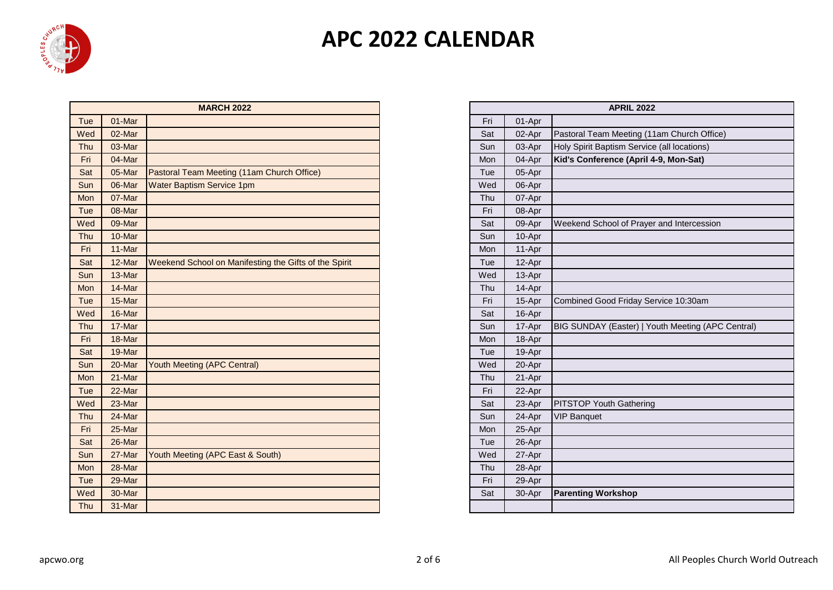

|     |        | <b>MARCH 2022</b>                                     |     |        | <b>APRIL 2022</b>                                 |
|-----|--------|-------------------------------------------------------|-----|--------|---------------------------------------------------|
| Tue | 01-Mar |                                                       | Fri | 01-Apr |                                                   |
| Wed | 02-Mar |                                                       | Sat | 02-Apr | Pastoral Team Meeting (11am Church Office)        |
| Thu | 03-Mar |                                                       | Sun | 03-Apr | Holy Spirit Baptism Service (all locations)       |
| Fri | 04-Mar |                                                       | Mon | 04-Apr | Kid's Conference (April 4-9, Mon-Sat)             |
| Sat | 05-Mar | Pastoral Team Meeting (11am Church Office)            | Tue | 05-Apr |                                                   |
| Sun | 06-Mar | <b>Water Baptism Service 1pm</b>                      | Wed | 06-Apr |                                                   |
| Mon | 07-Mar |                                                       | Thu | 07-Apr |                                                   |
| Tue | 08-Mar |                                                       | Fri | 08-Apr |                                                   |
| Wed | 09-Mar |                                                       | Sat | 09-Apr | Weekend School of Prayer and Intercession         |
| Thu | 10-Mar |                                                       | Sun | 10-Apr |                                                   |
| Fri | 11-Mar |                                                       | Mon | 11-Apr |                                                   |
| Sat | 12-Mar | Weekend School on Manifesting the Gifts of the Spirit | Tue | 12-Apr |                                                   |
| Sun | 13-Mar |                                                       | Wed | 13-Apr |                                                   |
| Mon | 14-Mar |                                                       | Thu | 14-Apr |                                                   |
| Tue | 15-Mar |                                                       | Fri | 15-Apr | Combined Good Friday Service 10:30am              |
| Wed | 16-Mar |                                                       | Sat | 16-Apr |                                                   |
| Thu | 17-Mar |                                                       | Sun | 17-Apr | BIG SUNDAY (Easter)   Youth Meeting (APC Central) |
| Fri | 18-Mar |                                                       | Mon | 18-Apr |                                                   |
| Sat | 19-Mar |                                                       | Tue | 19-Apr |                                                   |
| Sun | 20-Mar | Youth Meeting (APC Central)                           | Wed | 20-Apr |                                                   |
| Mon | 21-Mar |                                                       | Thu | 21-Apr |                                                   |
| Tue | 22-Mar |                                                       | Fri | 22-Apr |                                                   |
| Wed | 23-Mar |                                                       | Sat | 23-Apr | <b>PITSTOP Youth Gathering</b>                    |
| Thu | 24-Mar |                                                       | Sun | 24-Apr | <b>VIP Banquet</b>                                |
| Fri | 25-Mar |                                                       | Mon | 25-Apr |                                                   |
| Sat | 26-Mar |                                                       | Tue | 26-Apr |                                                   |
| Sun | 27-Mar | Youth Meeting (APC East & South)                      | Wed | 27-Apr |                                                   |
| Mon | 28-Mar |                                                       | Thu | 28-Apr |                                                   |
| Tue | 29-Mar |                                                       | Fri | 29-Apr |                                                   |
| Wed | 30-Mar |                                                       | Sat | 30-Apr | <b>Parenting Workshop</b>                         |
| Thu | 31-Mar |                                                       |     |        |                                                   |

| <b>MARCH 2022</b>                           | <b>APRIL 2022</b> |        |                                                   |  |  |  |
|---------------------------------------------|-------------------|--------|---------------------------------------------------|--|--|--|
|                                             | Fri               | 01-Apr |                                                   |  |  |  |
|                                             | Sat               | 02-Apr | Pastoral Team Meeting (11am Church Office)        |  |  |  |
|                                             | Sun               | 03-Apr | Holy Spirit Baptism Service (all locations)       |  |  |  |
|                                             | Mon               | 04-Apr | Kid's Conference (April 4-9, Mon-Sat)             |  |  |  |
| m Meeting (11am Church Office)              | Tue               | 05-Apr |                                                   |  |  |  |
| m Service 1pm                               | Wed               | 06-Apr |                                                   |  |  |  |
|                                             | Thu               | 07-Apr |                                                   |  |  |  |
|                                             | Fri               | 08-Apr |                                                   |  |  |  |
|                                             | Sat               | 09-Apr | Weekend School of Prayer and Intercession         |  |  |  |
|                                             | Sun               | 10-Apr |                                                   |  |  |  |
|                                             | Mon               | 11-Apr |                                                   |  |  |  |
| hool on Manifesting the Gifts of the Spirit | Tue               | 12-Apr |                                                   |  |  |  |
|                                             | Wed               | 13-Apr |                                                   |  |  |  |
|                                             | Thu               | 14-Apr |                                                   |  |  |  |
|                                             | Fri               | 15-Apr | Combined Good Friday Service 10:30am              |  |  |  |
|                                             | Sat               | 16-Apr |                                                   |  |  |  |
|                                             | Sun               | 17-Apr | BIG SUNDAY (Easter)   Youth Meeting (APC Central) |  |  |  |
|                                             | Mon               | 18-Apr |                                                   |  |  |  |
|                                             | Tue               | 19-Apr |                                                   |  |  |  |
|                                             | Wed               | 20-Apr |                                                   |  |  |  |
|                                             | Thu               | 21-Apr |                                                   |  |  |  |
|                                             | Fri               | 22-Apr |                                                   |  |  |  |
|                                             | Sat               | 23-Apr | PITSTOP Youth Gathering                           |  |  |  |
|                                             | Sun               | 24-Apr | <b>VIP Banquet</b>                                |  |  |  |
|                                             | Mon               | 25-Apr |                                                   |  |  |  |
|                                             | Tue               | 26-Apr |                                                   |  |  |  |
| g (APC East & South)                        | Wed               | 27-Apr |                                                   |  |  |  |
|                                             | Thu               | 28-Apr |                                                   |  |  |  |
|                                             | Fri               | 29-Apr |                                                   |  |  |  |
|                                             | Sat               | 30-Apr | <b>Parenting Workshop</b>                         |  |  |  |
|                                             |                   |        |                                                   |  |  |  |
|                                             |                   |        |                                                   |  |  |  |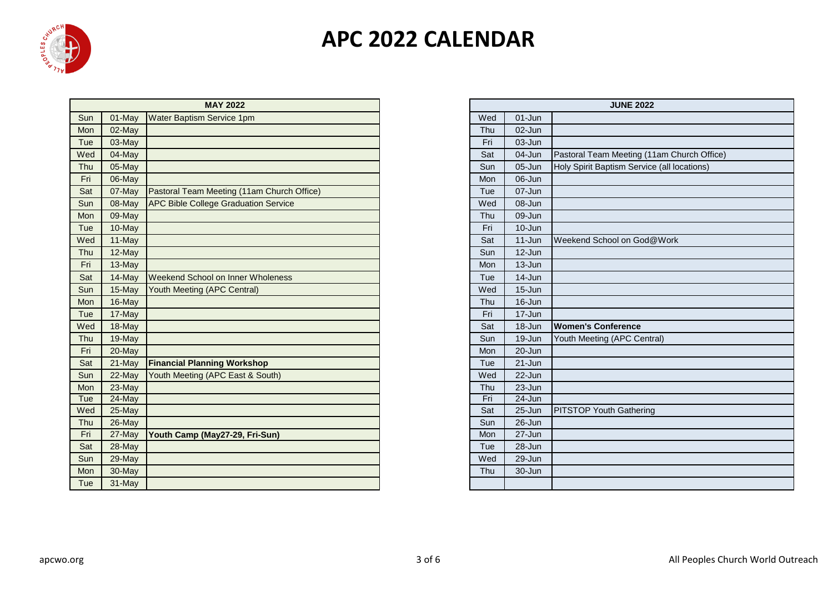

|     |        | <b>MAY 2022</b>                             |     |            | <b>JUNE 2022</b>                            |
|-----|--------|---------------------------------------------|-----|------------|---------------------------------------------|
| Sun | 01-May | Water Baptism Service 1pm                   | Wed | $01 - Jun$ |                                             |
| Mon | 02-May |                                             | Thu | 02-Jun     |                                             |
| Tue | 03-May |                                             | Fri | 03-Jun     |                                             |
| Wed | 04-May |                                             | Sat | 04-Jun     | Pastoral Team Meeting (11am Church Office)  |
| Thu | 05-May |                                             | Sun | 05-Jun     | Holy Spirit Baptism Service (all locations) |
| Fri | 06-May |                                             | Mon | 06-Jun     |                                             |
| Sat | 07-May | Pastoral Team Meeting (11am Church Office)  | Tue | 07-Jun     |                                             |
| Sun | 08-May | <b>APC Bible College Graduation Service</b> | Wed | 08-Jun     |                                             |
| Mon | 09-May |                                             | Thu | 09-Jun     |                                             |
| Tue | 10-May |                                             | Fri | 10-Jun     |                                             |
| Wed | 11-May |                                             | Sat | $11 - Jun$ | Weekend School on God@Work                  |
| Thu | 12-May |                                             | Sun | $12 - Jun$ |                                             |
| Fri | 13-May |                                             | Mon | 13-Jun     |                                             |
| Sat | 14-May | Weekend School on Inner Wholeness           | Tue | $14 - Jun$ |                                             |
| Sun | 15-May | Youth Meeting (APC Central)                 | Wed | 15-Jun     |                                             |
| Mon | 16-May |                                             | Thu | 16-Jun     |                                             |
| Tue | 17-May |                                             | Fri | 17-Jun     |                                             |
| Wed | 18-May |                                             | Sat | 18-Jun     | <b>Women's Conference</b>                   |
| Thu | 19-May |                                             | Sun | 19-Jun     | Youth Meeting (APC Central)                 |
| Fri | 20-May |                                             | Mon | 20-Jun     |                                             |
| Sat | 21-May | <b>Financial Planning Workshop</b>          | Tue | 21-Jun     |                                             |
| Sun | 22-May | Youth Meeting (APC East & South)            | Wed | 22-Jun     |                                             |
| Mon | 23-May |                                             | Thu | 23-Jun     |                                             |
| Tue | 24-May |                                             | Fri | 24-Jun     |                                             |
| Wed | 25-May |                                             | Sat | 25-Jun     | <b>PITSTOP Youth Gathering</b>              |
| Thu | 26-May |                                             | Sun | 26-Jun     |                                             |
| Fri | 27-May | Youth Camp (May27-29, Fri-Sun)              | Mon | 27-Jun     |                                             |
| Sat | 28-May |                                             | Tue | 28-Jun     |                                             |
| Sun | 29-May |                                             | Wed | 29-Jun     |                                             |
| Mon | 30-May |                                             | Thu | 30-Jun     |                                             |
| Tue | 31-May |                                             |     |            |                                             |

| <b>MAY 2022</b>              | <b>JUNE 2022</b> |            |                                             |  |  |  |  |
|------------------------------|------------------|------------|---------------------------------------------|--|--|--|--|
| Service 1pm                  | Wed              | 01-Jun     |                                             |  |  |  |  |
|                              | Thu              | 02-Jun     |                                             |  |  |  |  |
|                              | Fri              | 03-Jun     |                                             |  |  |  |  |
|                              | Sat              | 04-Jun     | Pastoral Team Meeting (11am Church Office)  |  |  |  |  |
|                              | Sun              | 05-Jun     | Holy Spirit Baptism Service (all locations) |  |  |  |  |
|                              | Mon              | 06-Jun     |                                             |  |  |  |  |
| Meeting (11am Church Office) | Tue              | 07-Jun     |                                             |  |  |  |  |
| ege Graduation Service       | Wed              | 08-Jun     |                                             |  |  |  |  |
|                              | Thu              | 09-Jun     |                                             |  |  |  |  |
|                              | Fri              | 10-Jun     |                                             |  |  |  |  |
|                              | Sat              | 11-Jun     | Weekend School on God@Work                  |  |  |  |  |
|                              | Sun              | 12-Jun     |                                             |  |  |  |  |
|                              | Mon              | 13-Jun     |                                             |  |  |  |  |
| ol on Inner Wholeness        | Tue              | 14-Jun     |                                             |  |  |  |  |
| (APC Central)                | Wed              | 15-Jun     |                                             |  |  |  |  |
|                              | Thu              | 16-Jun     |                                             |  |  |  |  |
|                              | Fri              | 17-Jun     |                                             |  |  |  |  |
|                              | Sat              | 18-Jun     | <b>Women's Conference</b>                   |  |  |  |  |
|                              | Sun              | 19-Jun     | Youth Meeting (APC Central)                 |  |  |  |  |
|                              | Mon              | 20-Jun     |                                             |  |  |  |  |
| ning Workshop                | Tue              | $21 - Jun$ |                                             |  |  |  |  |
| (APC East & South)           | Wed              | 22-Jun     |                                             |  |  |  |  |
|                              | Thu              | 23-Jun     |                                             |  |  |  |  |
|                              | Fri              | $24 - Jun$ |                                             |  |  |  |  |
|                              | Sat              | 25-Jun     | <b>PITSTOP Youth Gathering</b>              |  |  |  |  |
|                              | Sun              | 26-Jun     |                                             |  |  |  |  |
| May27-29, Fri-Sun)           | Mon              | 27-Jun     |                                             |  |  |  |  |
|                              | Tue              | 28-Jun     |                                             |  |  |  |  |
|                              | Wed              | 29-Jun     |                                             |  |  |  |  |
|                              | Thu              | 30-Jun     |                                             |  |  |  |  |
|                              |                  |            |                                             |  |  |  |  |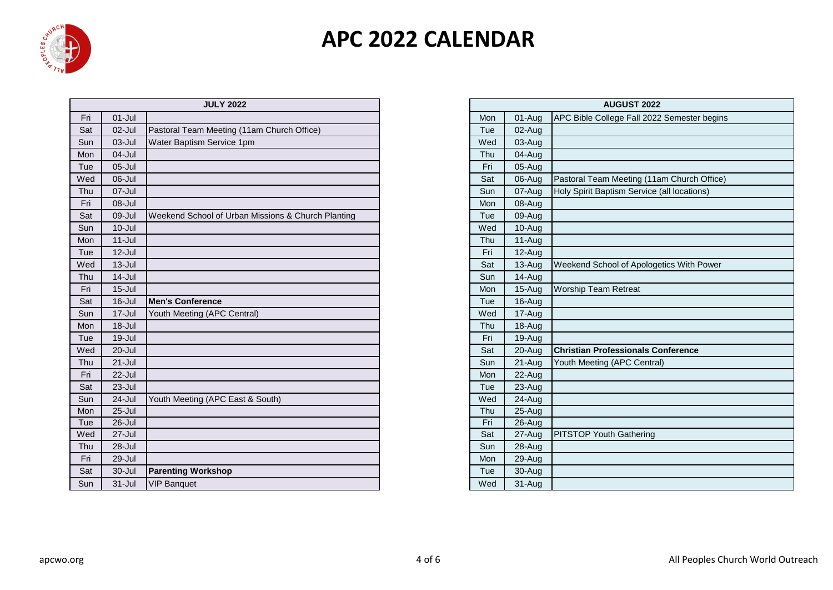

|     |            | <b>JULY 2022</b>                                   |     |          | <b>AUGUST 2022</b>                          |
|-----|------------|----------------------------------------------------|-----|----------|---------------------------------------------|
| Fri | $01 -$ Jul |                                                    | Mon | 01-Aug   | APC Bible College Fall 2022 Semester begins |
| Sat | 02-Jul     | Pastoral Team Meeting (11am Church Office)         | Tue | 02-Aug   |                                             |
| Sun | $03 -$ Jul | Water Baptism Service 1pm                          | Wed | 03-Aug   |                                             |
| Mon | 04-Jul     |                                                    | Thu | 04-Aug   |                                             |
| Tue | $05 -$ Jul |                                                    | Fri | 05-Aug   |                                             |
| Wed | 06-Jul     |                                                    | Sat | 06-Aug   | Pastoral Team Meeting (11am Church Office)  |
| Thu | 07-Jul     |                                                    | Sun | 07-Aug   | Holy Spirit Baptism Service (all locations) |
| Fri | 08-Jul     |                                                    | Mon | 08-Aug   |                                             |
| Sat | $09 -$ Jul | Weekend School of Urban Missions & Church Planting | Tue | 09-Aug   |                                             |
| Sun | $10 -$ Jul |                                                    | Wed | 10-Aug   |                                             |
| Mon | $11 -$ Jul |                                                    | Thu | 11-Aug   |                                             |
| Tue | $12$ -Jul  |                                                    | Fri | $12-Aug$ |                                             |
| Wed | $13 -$ Jul |                                                    | Sat | 13-Aug   | Weekend School of Apologetics With Power    |
| Thu | $14$ -Jul  |                                                    | Sun | 14-Aug   |                                             |
| Fri | $15 -$ Jul |                                                    | Mon | $15-Aug$ | <b>Worship Team Retreat</b>                 |
| Sat | $16$ -Jul  | <b>Men's Conference</b>                            | Tue | 16-Aug   |                                             |
| Sun | 17-Jul     | Youth Meeting (APC Central)                        | Wed | 17-Aug   |                                             |
| Mon | $18 -$ Jul |                                                    | Thu | 18-Aug   |                                             |
| Tue | 19-Jul     |                                                    | Fri | 19-Aug   |                                             |
| Wed | 20-Jul     |                                                    | Sat | 20-Aug   | <b>Christian Professionals Conference</b>   |
| Thu | $21 -$ Jul |                                                    | Sun | 21-Aug   | Youth Meeting (APC Central)                 |
| Fri | $22 -$ Jul |                                                    | Mon | 22-Aug   |                                             |
| Sat | 23-Jul     |                                                    | Tue | 23-Aug   |                                             |
| Sun | 24-Jul     | Youth Meeting (APC East & South)                   | Wed | 24-Aug   |                                             |
| Mon | $25 -$ Jul |                                                    | Thu | 25-Aug   |                                             |
| Tue | 26-Jul     |                                                    | Fri | 26-Aug   |                                             |
| Wed | 27-Jul     |                                                    | Sat | 27-Aug   | <b>PITSTOP Youth Gathering</b>              |
| Thu | $28 -$ Jul |                                                    | Sun | 28-Aug   |                                             |
| Fri | 29-Jul     |                                                    | Mon | 29-Aug   |                                             |
| Sat | $30 -$ Jul | <b>Parenting Workshop</b>                          | Tue | 30-Aug   |                                             |
| Sun | $31 -$ Jul | <b>VIP Banquet</b>                                 | Wed | 31-Aug   |                                             |

| <b>JULY 2022</b>                        |     | <b>AUGUST 2022</b> |                                             |
|-----------------------------------------|-----|--------------------|---------------------------------------------|
|                                         | Mon | 01-Aug             | APC Bible College Fall 2022 Semester begins |
| Meeting (11am Church Office)            | Tue | 02-Aug             |                                             |
| Service 1pm                             | Wed | 03-Aug             |                                             |
|                                         | Thu | 04-Aug             |                                             |
|                                         | Fri | 05-Aug             |                                             |
|                                         | Sat | 06-Aug             | Pastoral Team Meeting (11am Church Office)  |
|                                         | Sun | 07-Aug             | Holy Spirit Baptism Service (all locations) |
|                                         | Mon | 08-Aug             |                                             |
| ool of Urban Missions & Church Planting | Tue | 09-Aug             |                                             |
|                                         | Wed | 10-Aug             |                                             |
|                                         | Thu | 11-Aug             |                                             |
|                                         | Fri | 12-Aug             |                                             |
|                                         | Sat | 13-Aug             | Weekend School of Apologetics With Power    |
|                                         | Sun | 14-Aug             |                                             |
|                                         | Mon | 15-Aug             | <b>Worship Team Retreat</b>                 |
| ence                                    | Tue | 16-Aug             |                                             |
| (APC Central)                           | Wed | 17-Aug             |                                             |
|                                         | Thu | 18-Aug             |                                             |
|                                         | Fri | 19-Aug             |                                             |
|                                         | Sat | 20-Aug             | <b>Christian Professionals Conference</b>   |
|                                         | Sun | 21-Aug             | Youth Meeting (APC Central)                 |
|                                         | Mon | 22-Aug             |                                             |
|                                         | Tue | 23-Aug             |                                             |
| (APC East & South)                      | Wed | 24-Aug             |                                             |
|                                         | Thu | 25-Aug             |                                             |
|                                         | Fri | 26-Aug             |                                             |
|                                         | Sat | 27-Aug             | <b>PITSTOP Youth Gathering</b>              |
|                                         | Sun | 28-Aug             |                                             |
|                                         | Mon | 29-Aug             |                                             |
| rkshop                                  | Tue | 30-Aug             |                                             |
|                                         | Wed | 31-Aug             |                                             |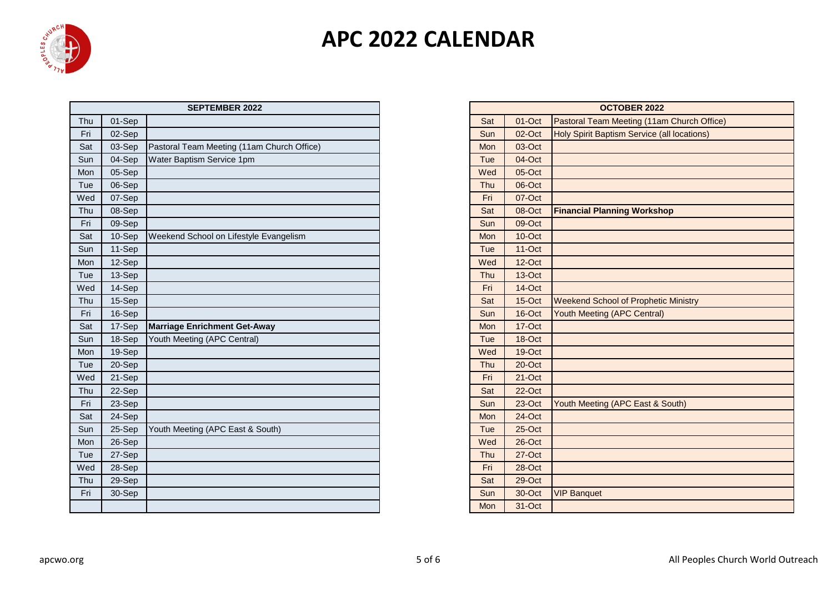

|     |        | <b>SEPTEMBER 2022</b>                      |     |           | <b>OCTOBER 2022</b>                         |
|-----|--------|--------------------------------------------|-----|-----------|---------------------------------------------|
| Thu | 01-Sep |                                            | Sat | 01-Oct    | Pastoral Team Meeting (11am Church Office)  |
| Fri | 02-Sep |                                            | Sun | 02-Oct    | Holy Spirit Baptism Service (all locations) |
| Sat | 03-Sep | Pastoral Team Meeting (11am Church Office) | Mon | 03-Oct    |                                             |
| Sun | 04-Sep | Water Baptism Service 1pm                  | Tue | 04-Oct    |                                             |
| Mon | 05-Sep |                                            | Wed | 05-Oct    |                                             |
| Tue | 06-Sep |                                            | Thu | 06-Oct    |                                             |
| Wed | 07-Sep |                                            | Fri | 07-Oct    |                                             |
| Thu | 08-Sep |                                            | Sat | 08-Oct    | <b>Financial Planning Workshop</b>          |
| Fri | 09-Sep |                                            | Sun | 09-Oct    |                                             |
| Sat | 10-Sep | Weekend School on Lifestyle Evangelism     | Mon | $10$ -Oct |                                             |
| Sun | 11-Sep |                                            | Tue | $11-Oct$  |                                             |
| Mon | 12-Sep |                                            | Wed | 12-Oct    |                                             |
| Tue | 13-Sep |                                            | Thu | 13-Oct    |                                             |
| Wed | 14-Sep |                                            | Fri | 14-Oct    |                                             |
| Thu | 15-Sep |                                            | Sat | 15-Oct    | <b>Weekend School of Prophetic Ministry</b> |
| Fri | 16-Sep |                                            | Sun | 16-Oct    | <b>Youth Meeting (APC Central)</b>          |
| Sat | 17-Sep | <b>Marriage Enrichment Get-Away</b>        | Mon | 17-Oct    |                                             |
| Sun | 18-Sep | Youth Meeting (APC Central)                | Tue | 18-Oct    |                                             |
| Mon | 19-Sep |                                            | Wed | 19-Oct    |                                             |
| Tue | 20-Sep |                                            | Thu | 20-Oct    |                                             |
| Wed | 21-Sep |                                            | Fri | 21-Oct    |                                             |
| Thu | 22-Sep |                                            | Sat | 22-Oct    |                                             |
| Fri | 23-Sep |                                            | Sun | 23-Oct    | Youth Meeting (APC East & South)            |
| Sat | 24-Sep |                                            | Mon | 24-Oct    |                                             |
| Sun | 25-Sep | Youth Meeting (APC East & South)           | Tue | 25-Oct    |                                             |
| Mon | 26-Sep |                                            | Wed | $26$ -Oct |                                             |
| Tue | 27-Sep |                                            | Thu | 27-Oct    |                                             |
| Wed | 28-Sep |                                            | Fri | 28-Oct    |                                             |
| Thu | 29-Sep |                                            | Sat | 29-Oct    |                                             |
| Fri | 30-Sep |                                            | Sun | 30-Oct    | <b>VIP Banquet</b>                          |
|     |        |                                            | Mon | 31-Oct    |                                             |

| <b>SEPTEMBER 2022</b>            | <b>OCTOBER 2022</b> |          |                                                    |  |  |  |
|----------------------------------|---------------------|----------|----------------------------------------------------|--|--|--|
|                                  | Sat                 | 01-Oct   | Pastoral Team Meeting (11am Church Office)         |  |  |  |
|                                  | Sun                 | 02-Oct   | <b>Holy Spirit Baptism Service (all locations)</b> |  |  |  |
| eam Meeting (11am Church Office) | Mon                 | 03-Oct   |                                                    |  |  |  |
| otism Service 1pm                | Tue                 | 04-Oct   |                                                    |  |  |  |
|                                  | Wed                 | 05-Oct   |                                                    |  |  |  |
|                                  | Thu                 | 06-Oct   |                                                    |  |  |  |
|                                  | Fri                 | 07-Oct   |                                                    |  |  |  |
|                                  | Sat                 | 08-Oct   | <b>Financial Planning Workshop</b>                 |  |  |  |
|                                  | Sun                 | 09-Oct   |                                                    |  |  |  |
| School on Lifestyle Evangelism   | <b>Mon</b>          | 10-Oct   |                                                    |  |  |  |
|                                  | Tue                 | $11-Oct$ |                                                    |  |  |  |
|                                  | Wed                 | 12-Oct   |                                                    |  |  |  |
|                                  | Thu                 | 13-Oct   |                                                    |  |  |  |
|                                  | Fri                 | 14-Oct   |                                                    |  |  |  |
|                                  | Sat                 | 15-Oct   | <b>Weekend School of Prophetic Ministry</b>        |  |  |  |
|                                  | Sun                 | 16-Oct   | Youth Meeting (APC Central)                        |  |  |  |
| <b>Enrichment Get-Away</b>       | Mon                 | 17-Oct   |                                                    |  |  |  |
| eting (APC Central)              | Tue                 | 18-Oct   |                                                    |  |  |  |
|                                  | Wed                 | 19-Oct   |                                                    |  |  |  |
|                                  | Thu                 | 20-Oct   |                                                    |  |  |  |
|                                  | Fri                 | 21-Oct   |                                                    |  |  |  |
|                                  | Sat                 | 22-Oct   |                                                    |  |  |  |
|                                  | Sun                 | 23-Oct   | Youth Meeting (APC East & South)                   |  |  |  |
|                                  | Mon                 | 24-Oct   |                                                    |  |  |  |
| eting (APC East & South)         | Tue                 | 25-Oct   |                                                    |  |  |  |
|                                  | Wed                 | 26-Oct   |                                                    |  |  |  |
|                                  | Thu                 | 27-Oct   |                                                    |  |  |  |
|                                  | Fri                 | 28-Oct   |                                                    |  |  |  |
|                                  | Sat                 | 29-Oct   |                                                    |  |  |  |
|                                  | Sun                 | 30-Oct   | <b>VIP Banquet</b>                                 |  |  |  |
|                                  | Mon                 | 31-Oct   |                                                    |  |  |  |